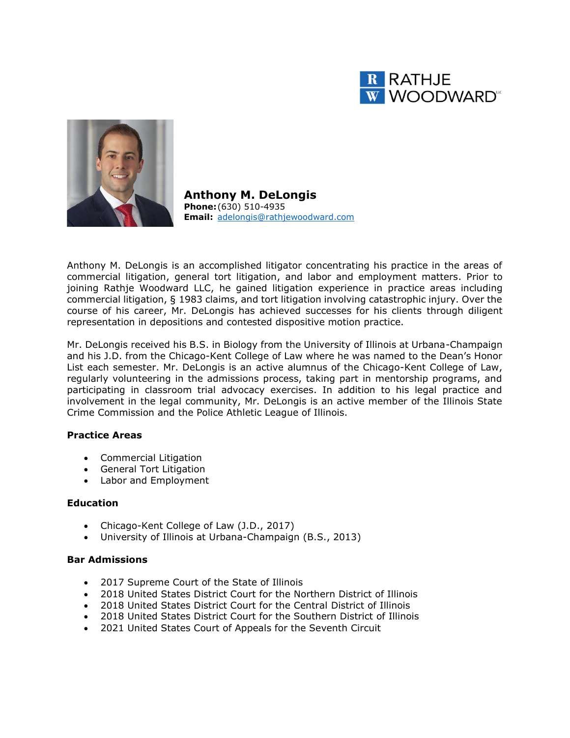



**Anthony M. DeLongis Phone:**(630) 510-4935 **Email:** [adelongis@rathjewoodward.com](mailto:adelongis@rathjewoodward.com)

Anthony M. DeLongis is an accomplished litigator concentrating his practice in the areas of commercial litigation, general tort litigation, and labor and employment matters. Prior to joining Rathje Woodward LLC, he gained litigation experience in practice areas including commercial litigation, § 1983 claims, and tort litigation involving catastrophic injury. Over the course of his career, Mr. DeLongis has achieved successes for his clients through diligent representation in depositions and contested dispositive motion practice.

Mr. DeLongis received his B.S. in Biology from the University of Illinois at Urbana-Champaign and his J.D. from the Chicago-Kent College of Law where he was named to the Dean's Honor List each semester. Mr. DeLongis is an active alumnus of the Chicago-Kent College of Law, regularly volunteering in the admissions process, taking part in mentorship programs, and participating in classroom trial advocacy exercises. In addition to his legal practice and involvement in the legal community, Mr. DeLongis is an active member of the Illinois State Crime Commission and the Police Athletic League of Illinois.

### **Practice Areas**

- Commercial Litigation
- General Tort Litigation
- Labor and Employment

#### **Education**

- Chicago-Kent College of Law (J.D., 2017)
- University of Illinois at Urbana-Champaign (B.S., 2013)

#### **Bar Admissions**

- 2017 Supreme Court of the State of Illinois
- 2018 United States District Court for the Northern District of Illinois
- 2018 United States District Court for the Central District of Illinois
- 2018 United States District Court for the Southern District of Illinois
- 2021 United States Court of Appeals for the Seventh Circuit